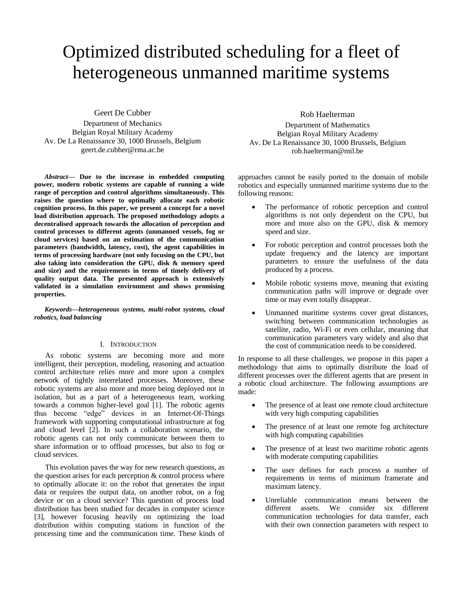# Optimized distributed scheduling for a fleet of heterogeneous unmanned maritime systems

Geert De Cubber Department of Mechanics Belgian Royal Military Academy Av. De La Renaissance 30, 1000 Brussels, Belgium geert.de.cubber@rma.ac.be

*Abstract***— Due to the increase in embedded computing power, modern robotic systems are capable of running a wide range of perception and control algorithms simultaneously. This raises the question where to optimally allocate each robotic cognition process. In this paper, we present a concept for a novel load distribution approach. The proposed methodology adopts a decentralised approach towards the allocation of perception and control processes to different agents (unmanned vessels, fog or cloud services) based on an estimation of the communication parameters (bandwidth, latency, cost), the agent capabilities in terms of processing hardware (not only focusing on the CPU, but also taking into consideration the GPU, disk & memory speed and size) and the requirements in terms of timely delivery of quality output data. The presented approach is extensively validated in a simulation environment and shows promising properties.**

*Keywords—heterogeneous systems, multi-robot systems, cloud robotics, load balancing*

#### I. INTRODUCTION

As robotic systems are becoming more and more intelligent, their perception, modeling, reasoning and actuation control architecture relies more and more upon a complex network of tightly interrelated processes. Moreover, these robotic systems are also more and more being deployed not in isolation, but as a part of a heterogeneous team, working towards a common higher-level goal [1]. The robotic agents thus become "edge" devices in an Internet-Of-Things framework with supporting computational infrastructure at fog and cloud level [2]. In such a collaboration scenario, the robotic agents can not only communicate between them to share information or to offload processes, but also to fog or cloud services.

This evolution paves the way for new research questions, as the question arises for each perception  $&$  control process where to optimally allocate it: on the robot that generates the input data or requires the output data, on another robot, on a fog device or on a cloud service? This question of process load distribution has been studied for decades in computer science [3], however focusing heavily on optimizing the load distribution within computing stations in function of the processing time and the communication time. These kinds of

Rob Haelterman Department of Mathematics Belgian Royal Military Academy Av. De La Renaissance 30, 1000 Brussels, Belgium rob.haelterman@mil.be

approaches cannot be easily ported to the domain of mobile robotics and especially unmanned maritime systems due to the following reasons:

- The performance of robotic perception and control algorithms is not only dependent on the CPU, but more and more also on the GPU, disk & memory speed and size.
- For robotic perception and control processes both the update frequency and the latency are important parameters to ensure the usefulness of the data produced by a process.
- Mobile robotic systems move, meaning that existing communication paths will improve or degrade over time or may even totally disappear.
- Unmanned maritime systems cover great distances, switching between communication technologies as satellite, radio, Wi-Fi or even cellular, meaning that communication parameters vary widely and also that the cost of communication needs to be considered.

In response to all these challenges, we propose in this paper a methodology that aims to optimally distribute the load of different processes over the different agents that are present in a robotic cloud architecture. The following assumptions are made:

- The presence of at least one remote cloud architecture with very high computing capabilities
- The presence of at least one remote fog architecture with high computing capabilities
- The presence of at least two maritime robotic agents with moderate computing capabilities
- The user defines for each process a number of requirements in terms of minimum framerate and maximum latency.
- Unreliable communication means between the different assets. We consider six different communication technologies for data transfer, each with their own connection parameters with respect to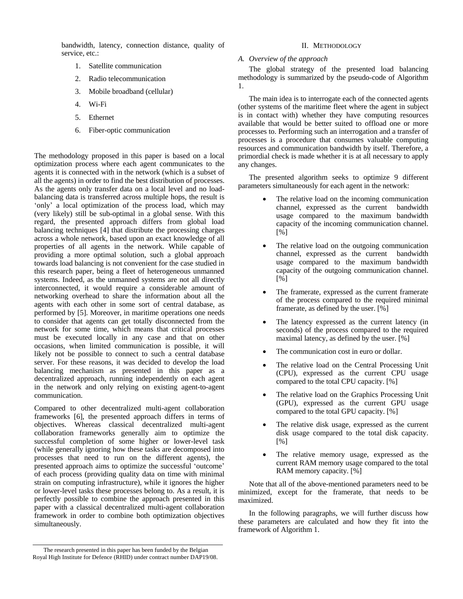bandwidth, latency, connection distance, quality of service, etc.:

- 1. Satellite communication
- 2. Radio telecommunication
- 3. Mobile broadband (cellular)
- 4. Wi-Fi
- 5. Ethernet
- 6. Fiber-optic communication

The methodology proposed in this paper is based on a local optimization process where each agent communicates to the agents it is connected with in the network (which is a subset of all the agents) in order to find the best distribution of processes. As the agents only transfer data on a local level and no loadbalancing data is transferred across multiple hops, the result is 'only' a local optimization of the process load, which may (very likely) still be sub-optimal in a global sense. With this regard, the presented approach differs from global load balancing techniques [4] that distribute the processing charges across a whole network, based upon an exact knowledge of all properties of all agents in the network. While capable of providing a more optimal solution, such a global approach towards load balancing is not convenient for the case studied in this research paper, being a fleet of heterogeneous unmanned systems. Indeed, as the unmanned systems are not all directly interconnected, it would require a considerable amount of networking overhead to share the information about all the agents with each other in some sort of central database, as performed by [5]. Moreover, in maritime operations one needs to consider that agents can get totally disconnected from the network for some time, which means that critical processes must be executed locally in any case and that on other occasions, when limited communication is possible, it will likely not be possible to connect to such a central database server. For these reasons, it was decided to develop the load balancing mechanism as presented in this paper as a decentralized approach, running independently on each agent in the network and only relying on existing agent-to-agent communication.

Compared to other decentralized multi-agent collaboration frameworks [6], the presented approach differs in terms of objectives. Whereas classical decentralized multi-agent collaboration frameworks generally aim to optimize the successful completion of some higher or lower-level task (while generally ignoring how these tasks are decomposed into processes that need to run on the different agents), the presented approach aims to optimize the successful 'outcome' of each process (providing quality data on time with minimal strain on computing infrastructure), while it ignores the higher or lower-level tasks these processes belong to. As a result, it is perfectly possible to combine the approach presented in this paper with a classical decentralized multi-agent collaboration framework in order to combine both optimization objectives simultaneously.

## II. METHODOLOGY

## *A. Overview of the approach*

The global strategy of the presented load balancing methodology is summarized by the pseudo-code of Algorithm 1.

The main idea is to interrogate each of the connected agents (other systems of the maritime fleet where the agent in subject is in contact with) whether they have computing resources available that would be better suited to offload one or more processes to. Performing such an interrogation and a transfer of processes is a procedure that consumes valuable computing resources and communication bandwidth by itself. Therefore, a primordial check is made whether it is at all necessary to apply any changes.

The presented algorithm seeks to optimize 9 different parameters simultaneously for each agent in the network:

- The relative load on the incoming communication channel, expressed as the current bandwidth usage compared to the maximum bandwidth capacity of the incoming communication channel. [%]
- The relative load on the outgoing communication channel, expressed as the current bandwidth usage compared to the maximum bandwidth capacity of the outgoing communication channel. [%]
- The framerate, expressed as the current framerate of the process compared to the required minimal framerate, as defined by the user. [%]
- The latency expressed as the current latency (in seconds) of the process compared to the required maximal latency, as defined by the user. [%]
- The communication cost in euro or dollar.
- The relative load on the Central Processing Unit (CPU), expressed as the current CPU usage compared to the total CPU capacity. [%]
- The relative load on the Graphics Processing Unit (GPU), expressed as the current GPU usage compared to the total GPU capacity. [%]
- The relative disk usage, expressed as the current disk usage compared to the total disk capacity. [%]
- The relative memory usage, expressed as the current RAM memory usage compared to the total RAM memory capacity. [%]

Note that all of the above-mentioned parameters need to be minimized, except for the framerate, that needs to be maximized.

In the following paragraphs, we will further discuss how these parameters are calculated and how they fit into the framework of Algorithm 1.

The research presented in this paper has been funded by the Belgian Royal High Institute for Defence (RHID) under contract number DAP19/08.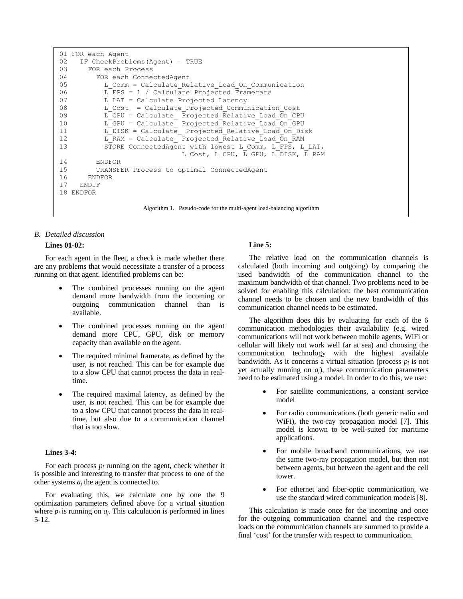```
01 FOR each Agent
02 IF CheckProblems(Agent) = TRUE
03 FOR each Process
04 FOR each ConnectedAgent
05 L_Comm = Calculate Relative Load On Communication
06 L FPS = 1 / Calculate Projected Framerate
07 LLAT = Calculate Projected Latency
LCost = Calculate Projected Communication Cost
09 L CPU = Calculate Projected Relative Load On CPU
10 L GPU = Calculate Projected Relative Load On GPU
11 L DISK = Calculate Projected Relative Load On Disk
12 L RAM = Calculate Projected Relative Load On RAM
13 STORE ConnectedAgent with lowest L Comm, L FPS, L LAT,
                           L Cost, L CPU, L GPU, L DISK, L RAM
14 ENDFOR
15 TRANSFER Process to optimal ConnectedAgent
16 ENDFOR
17 ENDIF
18 ENDFOR
                  Algorithm 1. Pseudo-code for the multi-agent load-balancing algorithm
```
# *B. Detailed discussion*

## **Lines 01-02:**

For each agent in the fleet, a check is made whether there are any problems that would necessitate a transfer of a process running on that agent. Identified problems can be:

- The combined processes running on the agent demand more bandwidth from the incoming or outgoing communication channel than is available.
- The combined processes running on the agent demand more CPU, GPU, disk or memory capacity than available on the agent.
- The required minimal framerate, as defined by the user, is not reached. This can be for example due to a slow CPU that cannot process the data in realtime.
- The required maximal latency, as defined by the user, is not reached. This can be for example due to a slow CPU that cannot process the data in realtime, but also due to a communication channel that is too slow.

## **Lines 3-4:**

For each process  $p_i$  running on the agent, check whether it is possible and interesting to transfer that process to one of the other systems  $a_j$  the agent is connected to.

For evaluating this, we calculate one by one the 9 optimization parameters defined above for a virtual situation where  $p_i$  is running on  $a_j$ . This calculation is performed in lines 5-12.

# **Line 5:**

The relative load on the communication channels is calculated (both incoming and outgoing) by comparing the used bandwidth of the communication channel to the maximum bandwidth of that channel. Two problems need to be solved for enabling this calculation: the best communication channel needs to be chosen and the new bandwidth of this communication channel needs to be estimated.

The algorithm does this by evaluating for each of the 6 communication methodologies their availability (e.g. wired communications will not work between mobile agents, WiFi or cellular will likely not work well far at sea) and choosing the communication technology with the highest available bandwidth. As it concerns a virtual situation (process  $p_i$  is not yet actually running on *aj*), these communication parameters need to be estimated using a model. In order to do this, we use:

- For satellite communications, a constant service model
- For radio communications (both generic radio and WiFi), the two-ray propagation model [7]. This model is known to be well-suited for maritime applications.
- For mobile broadband communications, we use the same two-ray propagation model, but then not between agents, but between the agent and the cell tower.
- For ethernet and fiber-optic communication, we use the standard wired communication models [8].

This calculation is made once for the incoming and once for the outgoing communication channel and the respective loads on the communication channels are summed to provide a final 'cost' for the transfer with respect to communication.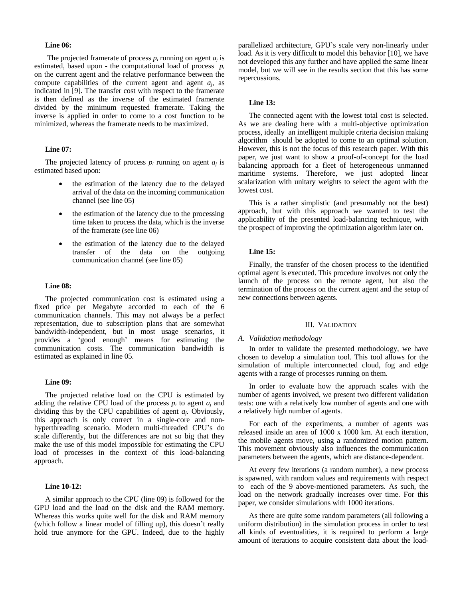## **Line 06:**

The projected framerate of process  $p_i$  running on agent  $a_i$  is estimated, based upon - the computational load of process  $p_i$ on the current agent and the relative performance between the compute capabilities of the current agent and agent  $a_i$ , as indicated in [9]. The transfer cost with respect to the framerate is then defined as the inverse of the estimated framerate divided by the minimum requested framerate. Taking the inverse is applied in order to come to a cost function to be minimized, whereas the framerate needs to be maximized.

#### **Line 07:**

The projected latency of process  $p_i$  running on agent  $a_j$  is estimated based upon:

- the estimation of the latency due to the delayed arrival of the data on the incoming communication channel (see line 05)
- the estimation of the latency due to the processing time taken to process the data, which is the inverse of the framerate (see line 06)
- the estimation of the latency due to the delayed transfer of the data on the outgoing communication channel (see line 05)

#### **Line 08:**

The projected communication cost is estimated using a fixed price per Megabyte accorded to each of the 6 communication channels. This may not always be a perfect representation, due to subscription plans that are somewhat bandwidth-independent, but in most usage scenarios, it provides a 'good enough' means for estimating the communication costs. The communication bandwidth is estimated as explained in line 05.

#### **Line 09:**

The projected relative load on the CPU is estimated by adding the relative CPU load of the process  $p_i$  to agent  $a_i$  and dividing this by the CPU capabilities of agent *aj*. Obviously, this approach is only correct in a single-core and nonhyperthreading scenario. Modern multi-threaded CPU's do scale differently, but the differences are not so big that they make the use of this model impossible for estimating the CPU load of processes in the context of this load-balancing approach.

# **Line 10-12:**

A similar approach to the CPU (line 09) is followed for the GPU load and the load on the disk and the RAM memory. Whereas this works quite well for the disk and RAM memory (which follow a linear model of filling up), this doesn't really hold true anymore for the GPU. Indeed, due to the highly parallelized architecture, GPU's scale very non-linearly under load. As it is very difficult to model this behavior [10], we have not developed this any further and have applied the same linear model, but we will see in the results section that this has some repercussions.

#### **Line 13:**

The connected agent with the lowest total cost is selected. As we are dealing here with a multi-objective optimization process, ideally an intelligent multiple criteria decision making algorithm should be adopted to come to an optimal solution. However, this is not the focus of this research paper. With this paper, we just want to show a proof-of-concept for the load balancing approach for a fleet of heterogeneous unmanned maritime systems. Therefore, we just adopted linear scalarization with unitary weights to select the agent with the lowest cost.

This is a rather simplistic (and presumably not the best) approach, but with this approach we wanted to test the applicability of the presented load-balancing technique, with the prospect of improving the optimization algorithm later on.

#### **Line 15:**

Finally, the transfer of the chosen process to the identified optimal agent is executed. This procedure involves not only the launch of the process on the remote agent, but also the termination of the process on the current agent and the setup of new connections between agents.

#### III. VALIDATION

#### *A. Validation methodology*

In order to validate the presented methodology, we have chosen to develop a simulation tool. This tool allows for the simulation of multiple interconnected cloud, fog and edge agents with a range of processes running on them.

In order to evaluate how the approach scales with the number of agents involved, we present two different validation tests: one with a relatively low number of agents and one with a relatively high number of agents.

For each of the experiments, a number of agents was released inside an area of 1000 x 1000 km. At each iteration, the mobile agents move, using a randomized motion pattern. This movement obviously also influences the communication parameters between the agents, which are distance-dependent.

At every few iterations (a random number), a new process is spawned, with random values and requirements with respect to each of the 9 above-mentioned parameters. As such, the load on the network gradually increases over time. For this paper, we consider simulations with 1000 iterations.

As there are quite some random parameters (all following a uniform distribution) in the simulation process in order to test all kinds of eventualities, it is required to perform a large amount of iterations to acquire consistent data about the load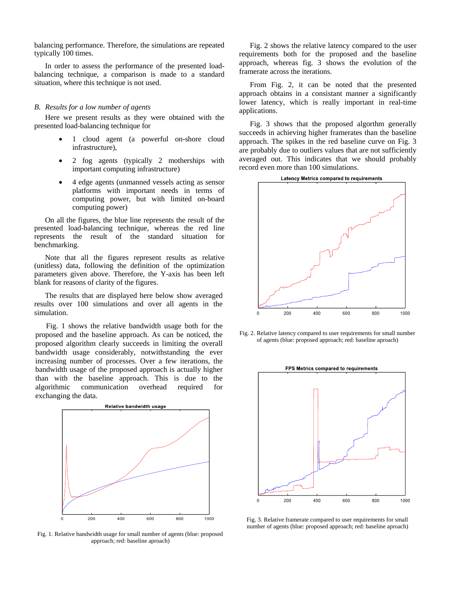balancing performance. Therefore, the simulations are repeated typically 100 times.

In order to assess the performance of the presented loadbalancing technique, a comparison is made to a standard situation, where this technique is not used.

#### *B. Results for a low number of agents*

Here we present results as they were obtained with the presented load-balancing technique for

- 1 cloud agent (a powerful on-shore cloud infrastructure),
- 2 fog agents (typically 2 motherships with important computing infrastructure)
- 4 edge agents (unmanned vessels acting as sensor platforms with important needs in terms of computing power, but with limited on-board computing power)

On all the figures, the blue line represents the result of the presented load-balancing technique, whereas the red line represents the result of the standard situation for benchmarking.

Note that all the figures represent results as relative (unitless) data, following the definition of the optimization parameters given above. Therefore, the Y-axis has been left blank for reasons of clarity of the figures.

The results that are displayed here below show averaged results over 100 simulations and over all agents in the simulation.

Fig. 1 shows the relative bandwidth usage both for the proposed and the baseline approach. As can be noticed, the proposed algorithm clearly succeeds in limiting the overall bandwidth usage considerably, notwithstanding the ever increasing number of processes. Over a few iterations, the bandwidth usage of the proposed approach is actually higher than with the baseline approach. This is due to the algorithmic communication overhead required for exchanging the data.



Fig. 1. Relative bandwidth usage for small number of agents (blue: proposed approach; red: baseline aproach)

Fig. 2 shows the relative latency compared to the user requirements both for the proposed and the baseline approach, whereas fig. 3 shows the evolution of the framerate across the iterations.

From Fig. 2, it can be noted that the presented approach obtains in a consistant manner a significantly lower latency, which is really important in real-time applications.

Fig. 3 shows that the proposed algorthm generally succeeds in achieving higher framerates than the baseline approach. The spikes in the red baseline curve on Fig. 3 are probably due to outliers values that are not sufficiently averaged out. This indicates that we should probably record even more than 100 simulations.



Fig. 2. Relative latency compared to user requirements for small number of agents (blue: proposed approach; red: baseline aproach)



Fig. 3. Relative framerate compared to user requirements for small number of agents (blue: proposed approach; red: baseline aproach)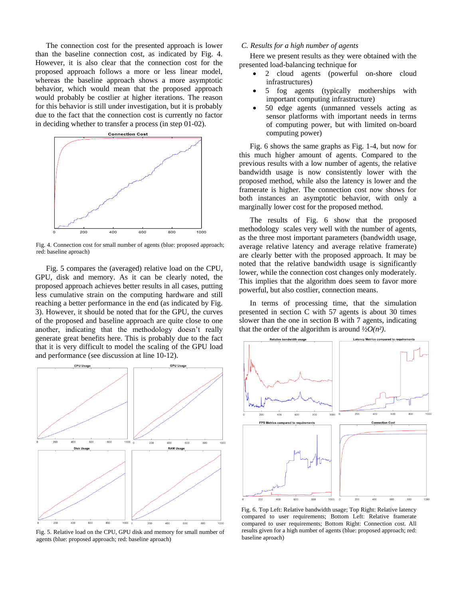The connection cost for the presented approach is lower than the baseline connection cost, as indicated by Fig. 4. However, it is also clear that the connection cost for the proposed approach follows a more or less linear model, whereas the baseline approach shows a more asymptotic behavior, which would mean that the proposed approach would probably be costlier at higher iterations. The reason for this behavior is still under investigation, but it is probably due to the fact that the connection cost is currently no factor in deciding whether to transfer a process (in step 01-02).



Fig. 4. Connection cost for small number of agents (blue: proposed approach; red: baseline aproach)

Fig. 5 compares the (averaged) relative load on the CPU, GPU, disk and memory. As it can be clearly noted, the proposed approach achieves better results in all cases, putting less cumulative strain on the computing hardware and still reaching a better performance in the end (as indicated by Fig. 3). However, it should be noted that for the GPU, the curves of the proposed and baseline approach are quite close to one another, indicating that the methodology doesn't really generate great benefits here. This is probably due to the fact that it is very difficult to model the scaling of the GPU load and performance (see discussion at line 10-12).



Fig. 5. Relative load on the CPU, GPU disk and memory for small number of agents (blue: proposed approach; red: baseline aproach)

## *C. Results for a high number of agents*

Here we present results as they were obtained with the presented load-balancing technique for

- 2 cloud agents (powerful on-shore cloud infrastructures)
- 5 fog agents (typically motherships with important computing infrastructure)
- 50 edge agents (unmanned vessels acting as sensor platforms with important needs in terms of computing power, but with limited on-board computing power)

Fig. 6 shows the same graphs as Fig. 1-4, but now for this much higher amount of agents. Compared to the previous results with a low number of agents, the relative bandwidth usage is now consistently lower with the proposed method, while also the latency is lower and the framerate is higher. The connection cost now shows for both instances an asymptotic behavior, with only a marginally lower cost for the proposed method.

The results of Fig. 6 show that the proposed methodology scales very well with the number of agents, as the three most important parameters (bandwidth usage, average relative latency and average relative framerate) are clearly better with the proposed approach. It may be noted that the relative bandwidth usage is significantly lower, while the connection cost changes only moderately. This implies that the algorithm does seem to favor more powerful, but also costlier, connection means.

In terms of processing time, that the simulation presented in section C with 57 agents is about 30 times slower than the one in section B with 7 agents, indicating that the order of the algorithm is around  $\frac{1}{2}O(n^2)$ .



Fig. 6. Top Left: Relative bandwidth usage; Top Right: Relative latency compared to user requirements; Bottom Left: Relative framerate compared to user requirements; Bottom Right: Connection cost. All results given for a high number of agents (blue: proposed approach; red: baseline aproach)